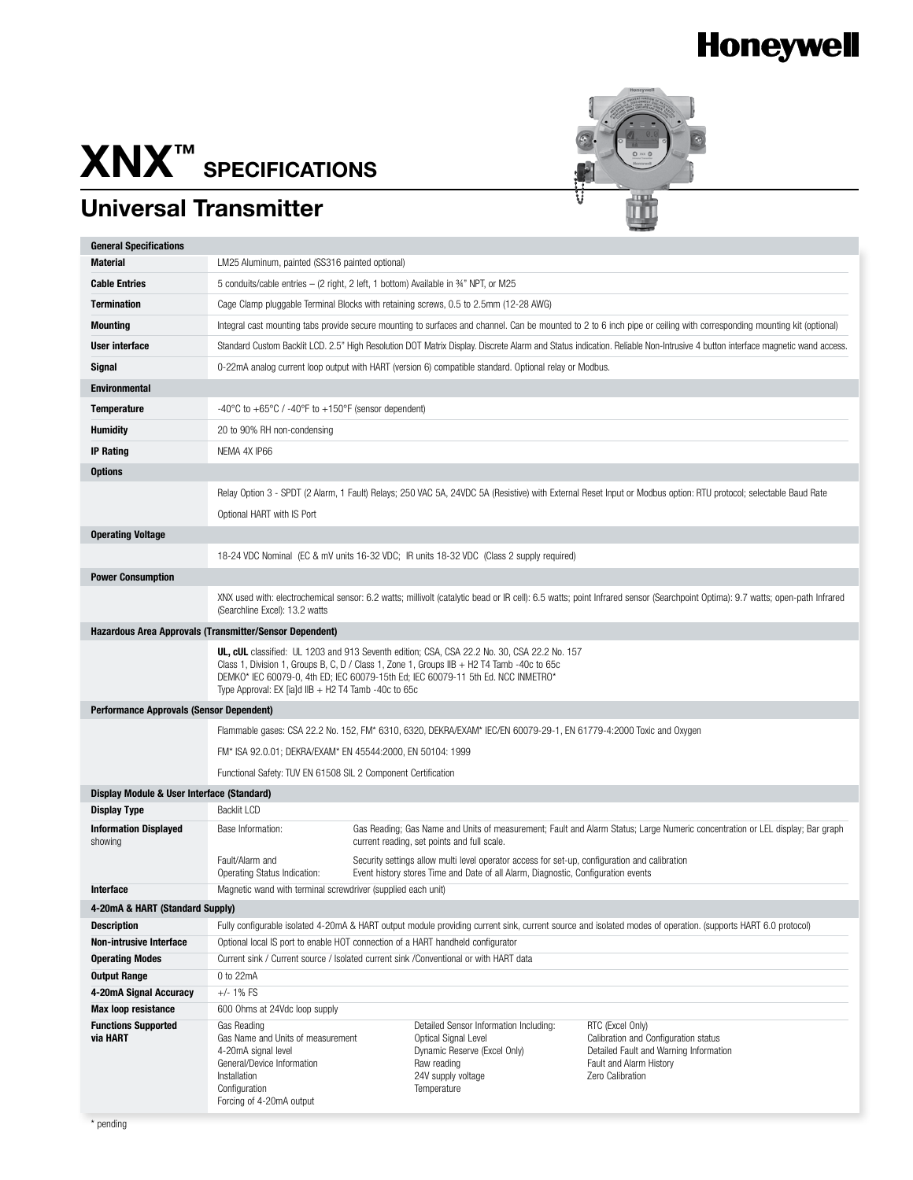## **Honeywell**

## **XNX™ specifications**

## **Universal Transmitter**



| <b>General Specifications</b>                                     |                                                                                                                                                                                                                                                 |  |                                                                                                        |                                                                                |  |  |
|-------------------------------------------------------------------|-------------------------------------------------------------------------------------------------------------------------------------------------------------------------------------------------------------------------------------------------|--|--------------------------------------------------------------------------------------------------------|--------------------------------------------------------------------------------|--|--|
| <b>Material</b>                                                   | LM25 Aluminum, painted (SS316 painted optional)                                                                                                                                                                                                 |  |                                                                                                        |                                                                                |  |  |
| <b>Cable Entries</b>                                              | 5 conduits/cable entries - (2 right, 2 left, 1 bottom) Available in 34" NPT, or M25                                                                                                                                                             |  |                                                                                                        |                                                                                |  |  |
| <b>Termination</b>                                                | Cage Clamp pluggable Terminal Blocks with retaining screws, 0.5 to 2.5mm (12-28 AWG)                                                                                                                                                            |  |                                                                                                        |                                                                                |  |  |
| <b>Mounting</b>                                                   | Integral cast mounting tabs provide secure mounting to surfaces and channel. Can be mounted to 2 to 6 inch pipe or ceiling with corresponding mounting kit (optional)                                                                           |  |                                                                                                        |                                                                                |  |  |
| User interface                                                    | Standard Custom Backlit LCD. 2.5" High Resolution DOT Matrix Display. Discrete Alarm and Status indication. Reliable Non-Intrusive 4 button interface magnetic wand access.                                                                     |  |                                                                                                        |                                                                                |  |  |
| Signal                                                            |                                                                                                                                                                                                                                                 |  | 0-22mA analog current loop output with HART (version 6) compatible standard. Optional relay or Modbus. |                                                                                |  |  |
| <b>Environmental</b>                                              |                                                                                                                                                                                                                                                 |  |                                                                                                        |                                                                                |  |  |
|                                                                   |                                                                                                                                                                                                                                                 |  |                                                                                                        |                                                                                |  |  |
| <b>Temperature</b>                                                | -40°C to +65°C / -40°F to +150°F (sensor dependent)                                                                                                                                                                                             |  |                                                                                                        |                                                                                |  |  |
| <b>Humidity</b>                                                   | 20 to 90% RH non-condensing                                                                                                                                                                                                                     |  |                                                                                                        |                                                                                |  |  |
| <b>IP Rating</b>                                                  | NEMA 4X IP66                                                                                                                                                                                                                                    |  |                                                                                                        |                                                                                |  |  |
| <b>Options</b>                                                    |                                                                                                                                                                                                                                                 |  |                                                                                                        |                                                                                |  |  |
|                                                                   | Relay Option 3 - SPDT (2 Alarm, 1 Fault) Relays; 250 VAC 5A, 24VDC 5A (Resistive) with External Reset Input or Modbus option: RTU protocol; selectable Baud Rate                                                                                |  |                                                                                                        |                                                                                |  |  |
|                                                                   | Optional HART with IS Port                                                                                                                                                                                                                      |  |                                                                                                        |                                                                                |  |  |
| <b>Operating Voltage</b>                                          |                                                                                                                                                                                                                                                 |  |                                                                                                        |                                                                                |  |  |
|                                                                   | 18-24 VDC Nominal (EC & mV units 16-32 VDC; IR units 18-32 VDC (Class 2 supply required)                                                                                                                                                        |  |                                                                                                        |                                                                                |  |  |
| <b>Power Consumption</b>                                          |                                                                                                                                                                                                                                                 |  |                                                                                                        |                                                                                |  |  |
|                                                                   |                                                                                                                                                                                                                                                 |  |                                                                                                        |                                                                                |  |  |
|                                                                   | XNX used with: electrochemical sensor: 6.2 watts; millivolt (catalytic bead or IR cell): 6.5 watts; point Infrared sensor (Searchpoint Optima): 9.7 watts; open-path Infrared<br>(Searchline Excel): 13.2 watts                                 |  |                                                                                                        |                                                                                |  |  |
|                                                                   | Hazardous Area Approvals (Transmitter/Sensor Dependent)                                                                                                                                                                                         |  |                                                                                                        |                                                                                |  |  |
|                                                                   |                                                                                                                                                                                                                                                 |  | UL, cUL classified: UL 1203 and 913 Seventh edition; CSA, CSA 22.2 No. 30, CSA 22.2 No. 157            |                                                                                |  |  |
|                                                                   | Class 1, Division 1, Groups B, C, D / Class 1, Zone 1, Groups IIB $+$ H2 T4 Tamb -40c to 65c                                                                                                                                                    |  |                                                                                                        |                                                                                |  |  |
|                                                                   | DEMKO* IEC 60079-0, 4th ED; IEC 60079-15th Ed; IEC 60079-11 5th Ed. NCC INMETRO*<br>Type Approval: EX [ia]d $IB + H2$ T4 Tamb -40c to 65c                                                                                                       |  |                                                                                                        |                                                                                |  |  |
| <b>Performance Approvals (Sensor Dependent)</b>                   |                                                                                                                                                                                                                                                 |  |                                                                                                        |                                                                                |  |  |
|                                                                   | Flammable gases: CSA 22.2 No. 152, FM* 6310, 6320, DEKRA/EXAM* IEC/EN 60079-29-1, EN 61779-4:2000 Toxic and Oxygen                                                                                                                              |  |                                                                                                        |                                                                                |  |  |
|                                                                   | FM* ISA 92.0.01; DEKRA/EXAM* EN 45544:2000, EN 50104: 1999                                                                                                                                                                                      |  |                                                                                                        |                                                                                |  |  |
|                                                                   |                                                                                                                                                                                                                                                 |  |                                                                                                        |                                                                                |  |  |
|                                                                   | Functional Safety: TUV EN 61508 SIL 2 Component Certification                                                                                                                                                                                   |  |                                                                                                        |                                                                                |  |  |
| Display Module & User Interface (Standard)<br><b>Display Type</b> | <b>Backlit LCD</b>                                                                                                                                                                                                                              |  |                                                                                                        |                                                                                |  |  |
| <b>Information Displayed</b>                                      | Gas Reading; Gas Name and Units of measurement; Fault and Alarm Status; Large Numeric concentration or LEL display; Bar graph<br>Base Information:                                                                                              |  |                                                                                                        |                                                                                |  |  |
| showing                                                           | current reading, set points and full scale.<br>Fault/Alarm and<br>Security settings allow multi level operator access for set-up, configuration and calibration                                                                                 |  |                                                                                                        |                                                                                |  |  |
|                                                                   |                                                                                                                                                                                                                                                 |  |                                                                                                        |                                                                                |  |  |
|                                                                   | Operating Status Indication:                                                                                                                                                                                                                    |  | Event history stores Time and Date of all Alarm, Diagnostic, Configuration events                      |                                                                                |  |  |
| Interface                                                         | Magnetic wand with terminal screwdriver (supplied each unit)                                                                                                                                                                                    |  |                                                                                                        |                                                                                |  |  |
| 4-20mA & HART (Standard Supply)<br><b>Description</b>             |                                                                                                                                                                                                                                                 |  |                                                                                                        |                                                                                |  |  |
| <b>Non-intrusive Interface</b>                                    | Fully configurable isolated 4-20mA & HART output module providing current sink, current source and isolated modes of operation. (supports HART 6.0 protocol)<br>Optional local IS port to enable HOT connection of a HART handheld configurator |  |                                                                                                        |                                                                                |  |  |
| <b>Operating Modes</b>                                            | Current sink / Current source / Isolated current sink / Conventional or with HART data                                                                                                                                                          |  |                                                                                                        |                                                                                |  |  |
| <b>Output Range</b>                                               | 0 to 22mA                                                                                                                                                                                                                                       |  |                                                                                                        |                                                                                |  |  |
| 4-20mA Signal Accuracy                                            | $+/- 1\%$ FS                                                                                                                                                                                                                                    |  |                                                                                                        |                                                                                |  |  |
| <b>Max loop resistance</b>                                        | 600 Ohms at 24Vdc loop supply                                                                                                                                                                                                                   |  |                                                                                                        |                                                                                |  |  |
| <b>Functions Supported</b>                                        | Gas Reading                                                                                                                                                                                                                                     |  | Detailed Sensor Information Including:                                                                 | RTC (Excel Only)                                                               |  |  |
| via HART                                                          | Gas Name and Units of measurement<br>4-20mA signal level                                                                                                                                                                                        |  | Optical Signal Level<br>Dynamic Reserve (Excel Only)                                                   | Calibration and Configuration status<br>Detailed Fault and Warning Information |  |  |
|                                                                   | General/Device Information                                                                                                                                                                                                                      |  | Raw reading                                                                                            | Fault and Alarm History                                                        |  |  |
|                                                                   | Installation                                                                                                                                                                                                                                    |  | 24V supply voltage                                                                                     | Zero Calibration                                                               |  |  |
|                                                                   | Configuration<br>Forcing of 4-20mA output                                                                                                                                                                                                       |  | Temperature                                                                                            |                                                                                |  |  |